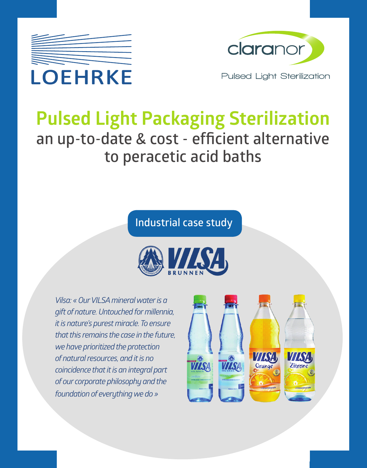



# **Pulsed Light Packaging Sterilization an up-to-date & cost - efficient alternative to peracetic acid baths**

### **Industrial case study**



*Vilsa: «Our VILSA mineral water is a gift of nature. Untouched for millennia, it is nature's purest miracle. To ensure that this remains the case in the future, we have prioritized the protection of natural resources, and it is no coincidence that it is an integral part of our corporate philosophy and the foundation of everything we do »*

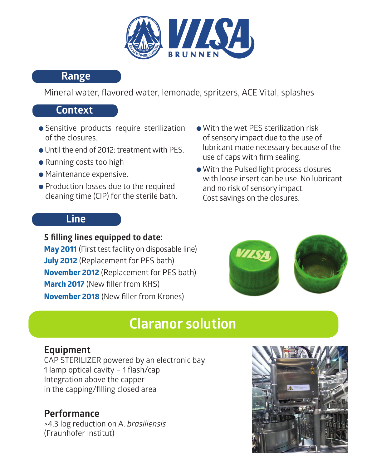

#### **Range**

Mineral water, flavored water, lemonade, spritzers, ACE Vital, splashes

### **Context**

- Sensitive products require sterilization of the closures.
- Until the end of 2012: treatment with PES.
- Running costs too high
- Maintenance expensive.
- Production losses due to the required cleaning time (CIP) for the sterile bath.
- With the wet PES sterilization risk of sensory impact due to the use of lubricant made necessary because of the use of caps with firm sealing.
- With the Pulsed light process closures with loose insert can be use. No lubricant and no risk of sensory impact. Cost savings on the closures.

### **Line**



#### **5 filling lines equipped to date: May 2011** (First test facility on disposable line) **July 2012** (Replacement for PES bath) **November 2012** (Replacement for PES bath) **March 2017** (New filler from KHS) **November 2018** (New filler from Krones)

## **Claranor solution**

### **Equipment**

CAP STERILIZER powered by an electronic bay 1 lamp optical cavity – 1 flash/cap Integration above the capper in the capping/filling closed area

### **Performance**

>4.3 log reduction on A. *brasiliensis* (Fraunhofer Institut)

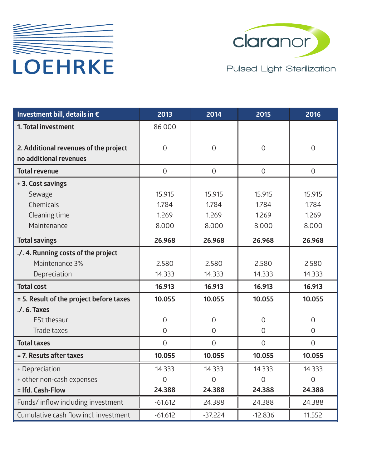



| Investment bill, details in €                                   | 2013        | 2014           | 2015         | 2016           |
|-----------------------------------------------------------------|-------------|----------------|--------------|----------------|
| 1. Total investment                                             | 86000       |                |              |                |
|                                                                 | $\Omega$    | $\Omega$       | $\Omega$     | $\Omega$       |
| 2. Additional revenues of the project<br>no additional revenues |             |                |              |                |
| <b>Total revenue</b>                                            | $\mathbf 0$ | $\overline{O}$ | $\mathbf{O}$ | $\overline{0}$ |
| + 3. Cost savings                                               |             |                |              |                |
| Sewage                                                          | 15.915      | 15.915         | 15.915       | 15.915         |
| Chemicals                                                       | 1.784       | 1.784          | 1.784        | 1.784          |
| Cleaning time                                                   | 1.269       | 1.269          | 1.269        | 1.269          |
| Maintenance                                                     | 8.000       | 8.000          | 8.000        | 8.000          |
| <b>Total savings</b>                                            | 26.968      | 26.968         | 26.968       | 26.968         |
| ./. 4. Running costs of the project                             |             |                |              |                |
| Maintenance 3%                                                  | 2.580       | 2.580          | 2.580        | 2.580          |
| Depreciation                                                    | 14.333      | 14.333         | 14.333       | 14.333         |
| <b>Total cost</b>                                               | 16.913      | 16.913         | 16.913       | 16.913         |
| = 5. Result of the project before taxes                         | 10.055      | 10.055         | 10.055       | 10.055         |
| $.$ / $.6.$ Taxes                                               |             |                |              |                |
| ESt thesaur.                                                    | $\Omega$    | $\mathbf 0$    | $\Omega$     | $\Omega$       |
| Trade taxes                                                     | $\Omega$    | $\mathbf 0$    | $\Omega$     | $\Omega$       |
| <b>Total taxes</b>                                              | $\Omega$    | $\Omega$       | $\Omega$     | $\Omega$       |
| = 7. Resuts after taxes                                         | 10.055      | 10.055         | 10.055       | 10.055         |
| + Depreciation                                                  | 14.333      | 14.333         | 14.333       | 14.333         |
| + other non-cash expenses                                       | $\Omega$    | $\Omega$       | $\Omega$     | $\Omega$       |
| = Ifd. Cash-Flow                                                | 24.388      | 24.388         | 24.388       | 24.388         |
| Funds/ inflow including investment                              | $-61.612$   | 24.388         | 24.388       | 24.388         |
| Cumulative cash flow incl. investment                           | $-61.612$   | $-37.224$      | $-12.836$    | 11.552         |